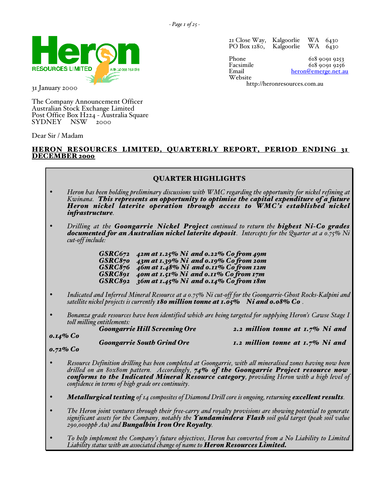

31 January 2000

The Company Announcement Officer Australian Stock Exchange Limited Post Office Box H224 - Australia Square SYDNEY

Dear Sir / Madam

# HERON RESOURCES LIMITED, QUARTERLY REPORT, PERIOD ENDING 31 DECEMBER 2000

# QUARTER HIGHLIGHTS

- *Heron has been holding preliminary discussions with WMC regarding the opportunity for nickel refining at Kwinana. This represents an opportunity to optimise the capital expenditure of a future Heron nickel laterite operation through access to WMC's established nickel infrastructure.*
- *Drilling at the Goongarrie Nickel Project continued to return the highest Ni-Co grades documented for an Australian nickel laterite deposit. Intercepts for the Quarter at a 0.75% Ni cut-off include:*

*GSRC672 42m at 1.25% Ni and 0.22% Co from 49m GSRC870 43m at 1.39% Ni and 0.19% Co from 20m GSRC876 46m at 1.48% Ni and 0.11% Co from 12m GSRC891 40m at 1.51% Ni and 0.11% Co from 17m GSRC892 36m at 1.45% Ni and 0.14% Co from 18m*

- *Indicated and Inferred Mineral Resource at a 0.75% Ni cut-off for the Goongarrie-Ghost Rocks-Kalpini and satellite nickel projects is currently 180 million tonne at 1.05% Ni and 0.08% Co .*
- *Bonanza grade resources have been identified which are being targeted for supplying Heron's Cawse Stage I*

|             | toll milling entitlements:           |                                       |
|-------------|--------------------------------------|---------------------------------------|
|             | <b>Goongarrie Hill Screening Ore</b> | 2.2 million tonne at $1.7\%$ Ni and   |
| $0.14\%$ Co |                                      |                                       |
|             | <b>Goongarrie South Grind Ore</b>    | $I.2$ million tonne at $I.7\%$ Ni and |
|             |                                      |                                       |

*0.72% Co*

- *Resource Definition drilling has been completed at Goongarrie, with all mineralised zones having now been* drilled on an 80x80m pattern. Accordingly, 74% of the Goongarrie Project resource now<br>conforms to the Indicated Mineral Resource category, providing Heron with a high level of<br>confidence in terms of high grade ore continui
- *Metallurgical testing* of 14 composites of Diamond Drill core is ongoing, returning **excellent results**.
- *The Heron joint ventures through their free-carry and royalty provisions are showing potential to generate significant assets for the Company, notably the Yundamindera Flash soil gold target (peak soil value 290,000ppb Au) and Bungalbin Iron Ore Royalty.*
- *To help implement the Company's future objectives, Heron has converted from a No Liability to Limited Liability status with an associated change of name to Heron Resources Limited.*

21 Close Way, Kalgoorlie WA 6430 PO Box 1280,

Website

Phone 618 9091 9253<br>Facsimile 618 9091 9256 Facsimile 618 9091 9256<br>Email beron@emerge net an heron@emerge.net.au

[http://heronresources.com.au](http://www.heronresources.com.au)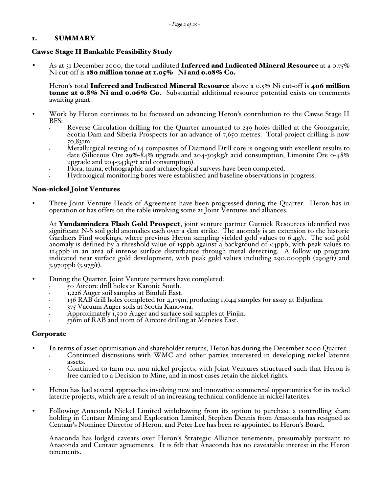# 1. SUMMARY

### Cawse Stage II Bankable Feasibility Study

As at 31 December 2000, the total undiluted **Inferred and Indicated Mineral Resource** at a 0.75% Ni cut-off is  $180$  million tonne at  $1.05\%$  Ni and  $0.08\%$  Co.

Heron's total Inferred and Indicated Mineral Resource above a  $0.5\%$  Ni cut-off is 406 million tonne at 0.8% Ni and 0.06% Co. Substantial additional resource potential exists on tenements awaiting grant.

- Work by Heron continues to be focussed on advancing Heron's contribution to the Cawse Stage II BFS:
	- Reverse Circulation drilling for the Quarter amounted to 239 holes drilled at the Goongarrie, Scotia Dam and Siberia Prospects for an advance of 7,650 metres. Total project drilling is now 50,831m.
	- Metallurgical testing of 14 composites of Diamond Drill core is ongoing with excellent results to date (Siliceous Ore 29%-84% upgrade and 204-305 kg/t acid consumption, Limonite Ore 0-48% upgrade and 204-343kg/t acid consumption).
	- Flora, fauna, ethnographic and archaeological surveys have been completed.
	- Hydrological monitoring bores were established and baseline observations in progress.

# Non-nickel Joint Ventures

• Three Joint Venture Heads of Agreement have been progressed during the Quarter. Heron has in operation or has offers on the table involving some 21 Joint Ventures and alliances.

At Yundamindera Flash Gold Prospect, joint venture partner Gutnick Resources identified two significant N-S soil gold anomalies each over a 5km strike. The anomaly is an extension to the historic Gardners Find workings, where previous Heron sampling yielded gold values to 6.4g/t. The soil gold anomaly is defined by a threshold value of 15ppb against a background of <4ppb, with peak values to 114ppb in an area of intense surface disturbance through metal detecting. A follow up program indicated near surface gold development, with peak gold values including 290,000ppb (290g/t) and 3,970ppb (3.97g/t).

- During the Quarter, Joint Venture partners have completed:
	- 50 Aircore drill holes at Karonie South.
	- 1,226 Auger soil samples at Binduli East.
	- 136 RAB drill holes completed for 4,175m, producing 1,044 samples for assay at Edjudina.
	- 375 Vacuum Auger soils at Scotia Kanowna.
	- Approximately 1,500 Auger and surface soil samples at Pinjin.
	- 536m of RAB and 110m of Aircore drilling at Menzies East.

### Corporate

- In terms of asset optimisation and shareholder returns, Heron has during the December 2000 Quarter:
	- Continued discussions with WMC and other parties interested in developing nickel laterite assets.
	- Continued to farm out non-nickel projects, with Joint Ventures structured such that Heron is free carried to a Decision to Mine, and in most cases retain the nickel rights.
- Heron has had several approaches involving new and innovative commercial opportunities for its nickel laterite projects, which are a result of an increasing technical confidence in nickel laterites.
- Following Anaconda Nickel Limited withdrawing from its option to purchase a controlling share holding in Centaur Mining and Exploration Limited, Stephen Dennis from Anaconda has resigned as Centaur's Nominee Director of Heron, and Peter Lee has been re-appointed to Heron's Board.

Anaconda has lodged caveats over Heron's Strategic Alliance tenements, presumably pursuant to Anaconda and Centaur agreements. It is felt that Anaconda has no caveatable interest in the Heron tenements.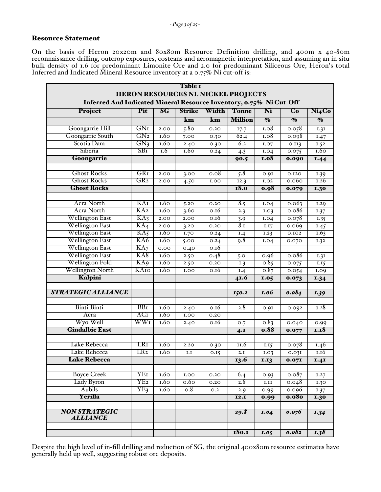## Resource Statement

On the basis of Heron 20x20m and 80x80m Resource Definition drilling, and 400m x 40-80m reconnaissance drilling, outcrop exposures, costeans and aeromagnetic interpretation, and assuming an in situ bulk density of 1.6 for predominant Limonite Ore and 2.0 for predominant Siliceous Ore, Heron's total Inferred and Indicated Mineral Resource inventory at a 0.75% Ni cut-off is:

|                                                                     |                 |      | Table I       |       |                                           |                                  |                           |                                        |
|---------------------------------------------------------------------|-----------------|------|---------------|-------|-------------------------------------------|----------------------------------|---------------------------|----------------------------------------|
|                                                                     |                 |      |               |       | <b>HERON RESOURCES NL NICKEL PROJECTS</b> |                                  |                           |                                        |
| Inferred And Indicated Mineral Resource Inventory, 0.75% Ni Cut-Off |                 |      |               |       |                                           |                                  |                           |                                        |
| Project                                                             | Pit             | SG   | <b>Strike</b> | Width | <b>Tonne</b>                              | Ni                               | Co                        | Ni <sub>4</sub> Co                     |
|                                                                     |                 |      | km            | km    | <b>Million</b>                            | $\overline{\mathcal{O}_{\!\!O}}$ | $\overline{\mathbf{v}}_0$ | $\overline{\mathcal{O}_{\mathcal{O}}}$ |
| Goongarrie Hill                                                     | GNI             | 2.00 | 5.80          | 0.20  | 17.7                                      | I.08                             | 0.058                     | 1.31                                   |
| Goongarrie South                                                    | GN <sub>2</sub> | 1.60 | 7.00          | 0.30  | 62.4                                      | 1.08                             | 0.098                     | 1.47                                   |
| Scotia Dam                                                          | GN <sub>3</sub> | 1.60 | 2.40          | 0.30  | 6.2                                       | I.07                             | 0.113                     | 1.52                                   |
| Siberia                                                             | SBI             | I.6  | 1.60          | 0.24  | 4.3                                       | I.04                             | 0.075                     | I.60                                   |
| Goongarrie                                                          |                 |      |               |       | 90.5                                      | 1.08                             | 0.090                     | 1.44                                   |
|                                                                     |                 |      |               |       |                                           |                                  |                           |                                        |
| <b>Ghost Rocks</b>                                                  | GR1             | 2.00 | 3.00          | 0.08  | 5.8                                       | 0.9I                             | 0.I2O                     | 1.39                                   |
| <b>Ghost Rocks</b>                                                  | GR2             | 2.00 | 4.50          | 1.00  | 12.3                                      | I.O <sub>2</sub>                 | 0.060                     | I.26                                   |
| <b>Ghost Rocks</b>                                                  |                 |      |               |       | <b>18.0</b>                               | 0.98                             | 0.079                     | 1.30                                   |
|                                                                     |                 |      |               |       |                                           |                                  |                           |                                        |
| Acra North                                                          | KА1             | 1.60 | 5.20          | 0.20  | 8.5                                       | I.04                             | 0.063                     | 1.29                                   |
| <b>Acra North</b>                                                   | KA2             | 1.60 | 3.60          | 0.16  | 2.3                                       | I.03                             | 0.086                     | 1.37                                   |
| Wellington East                                                     | KA3             | 2.00 | 2.00          | 0.16  | 3.9                                       | I.04                             | 0.078                     | 1.35                                   |
| Wellington East                                                     | KA4             | 2.00 | 3.20          | 0.20  | 8 <sub>l</sub>                            | 1.17                             | 0.069                     | 1.45                                   |
| <b>Wellington East</b>                                              | KA5             | 1.60 | 1.70          | 0.24  | I.4                                       | 1.23                             | 0.102                     | 1.63                                   |
| <b>Wellington East</b>                                              | KA6             | 1.60 | 5.00          | 0.24  | 9.8                                       | I.04                             | 0.070                     | 1.32                                   |
| <b>Wellington East</b>                                              | KA7             | 0.00 | 0.40          | 0.16  |                                           |                                  |                           |                                        |
| Wellington East                                                     | KA8             | 1.60 | 2.50          | 0.48  | 5.0                                       | 0.96                             | 0.086                     | 1.31                                   |
| Wellington Fold                                                     | KA9             | 1.60 | 2.50          | 0.20  | $\overline{1.3}$                          | 0.85                             | 0.075                     | 1.15                                   |
| Wellington North                                                    | KA10            | 1.60 | 1.00          | 0.16  | $\overline{1.4}$                          | 0.87                             | 0.054                     | 1.09                                   |
| Kalpini                                                             |                 |      |               |       | 41.6                                      | $\overline{1.05}$                | 0.073                     | 1.34                                   |
|                                                                     |                 |      |               |       |                                           |                                  |                           |                                        |
| <b>STRATEGIC ALLIANCE</b>                                           |                 |      |               |       | 150.2                                     | <b>1.06</b>                      | 0.084                     | I.39                                   |
|                                                                     |                 |      |               |       |                                           |                                  |                           |                                        |
| Binti Binti                                                         | BBI             | 1.60 | 2.40          | 0.16  | 2.8                                       | 0.9I                             | 0.092                     | 1.28                                   |
| Acra                                                                | AC1             | 1.60 | 1.00          | 0.20  |                                           |                                  |                           |                                        |
| Wyo Well                                                            | WW1             | 1.60 | 2.40          | 0.16  | O.7                                       | 0.83                             | 0.040                     | 0.99                                   |
| <b>Gindalbie East</b>                                               |                 |      |               |       | 4.1                                       | 0.88                             | 0.077                     | <b>I.I8</b>                            |
|                                                                     |                 |      |               |       |                                           |                                  |                           |                                        |
| Lake Rebecca                                                        | LR1             | 1.60 | 2.20          | 0.30  | II.6                                      | 1.15                             | 0.078                     | 1.46                                   |
| Lake Rebecca                                                        | LR2             | 1.60 | I.I           | 0.15  | 2.I                                       | I.03                             | 0.03I                     | 1.16                                   |
| <b>Lake Rebecca</b>                                                 |                 |      |               |       | 13.6                                      | 1.13                             | 0.07I                     | 1.41                                   |
|                                                                     |                 |      |               |       |                                           |                                  |                           |                                        |
| <b>Boyce Creek</b>                                                  | YE1             | 1.60 | 1.00          | 0.20  | 6.4                                       | 0.93                             | 0.087                     | I.27                                   |
| Lady Byron                                                          | YE2             | 1.60 | 0.60          | 0.20  | 2.8                                       | 1.11                             | 0.048                     | 1.30                                   |
| Aubils                                                              | YE3             | 1.60 | 0.8           | 0.2   | 2.9                                       | 0.99                             | 0.096                     | 1.37                                   |
| Yerilla                                                             |                 |      |               |       | <b>I2.I</b>                               | 0.99                             | 0.080                     | 1.30                                   |
|                                                                     |                 |      |               |       |                                           |                                  |                           |                                        |
| <b>NON STRATEGIC</b><br><i><b>ALLIANCE</b></i>                      |                 |      |               |       | 29.8                                      | I.04                             | 0.076                     | 1.34                                   |
|                                                                     |                 |      |               |       | 180.I                                     | $\overline{I.05}$                | 0.082                     | 1.38                                   |

Despite the high level of in-fill drilling and reduction of SG, the original 400x80m resource estimates have generally held up well, suggesting robust ore deposits.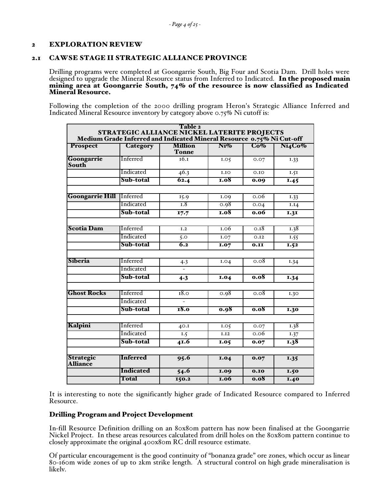# 2 EXPLORATION REVIEW

# 2.1 CAWSE STAGE II STRATEGIC ALLIANCE PROVINCE

Drilling programs were completed at Goongarrie South, Big Four and Scotia Dam. Drill holes were designed to upgrade the Mineral Resource status from Inferred to Indicated. In the proposed main mining area at Goongarrie South,  $74\%$  of the resource is now classified as Indicated Mineral Resource.

Following the completion of the 2000 drilling program Heron's Strategic Alliance Inferred and Indicated Mineral Resource inventory by category above 0.75% Ni cutoff is:

|                                     | <b>STRATEGIC ALLIANCE NICKEL LATERITE PROJECTS</b>                    | Table 2                        |             |                 |                   |
|-------------------------------------|-----------------------------------------------------------------------|--------------------------------|-------------|-----------------|-------------------|
|                                     | Medium Grade Inferred and Indicated Mineral Resource 0.75% Ni Cut-off |                                |             |                 |                   |
| <b>Prospect</b>                     | Category                                                              | <b>Million</b><br><b>Tonne</b> | $Ni$ %      | $\mathbf{Co}\%$ | Ni4Co%            |
| Goongarrie<br>South                 | Inferred                                                              | 16.1                           | 1.05        | 0.07            | 1.33              |
|                                     | Indicated                                                             | 46.3                           | 1.10        | 0.10            | 1.51              |
|                                     | Sub-total                                                             | 62.4                           | <b>1.08</b> | 0.09            | $\overline{1.45}$ |
|                                     |                                                                       |                                |             |                 |                   |
| <b>Goongarrie Hill</b>              | <b>Inferred</b>                                                       | 15.9                           | I.09        | 0.06            | $\overline{1.33}$ |
|                                     | Indicated                                                             | T.8                            | 0.98        | 0.04            | I.I4              |
|                                     | Sub-total                                                             | 17.7                           | <b>1.08</b> | 0.06            | $\overline{1.31}$ |
|                                     |                                                                       |                                |             |                 |                   |
| <b>Scotia Dam</b>                   | Inferred                                                              | $\overline{1.2}$               | 1.06        | 0.18            | 1.38              |
|                                     | Indicated                                                             | 5.0                            | I.07        | 0.12            | 1.55              |
|                                     | Sub-total                                                             | $\overline{6.2}$               | <b>I.07</b> | 0.II            | I.52              |
|                                     |                                                                       |                                |             |                 |                   |
| Siberia                             | Inferred                                                              | 4.3                            | I.04        | 0.08            | 1.34              |
|                                     | Indicated                                                             |                                |             |                 |                   |
|                                     | Sub-total                                                             | 4.3                            | <b>I.04</b> | 0.08            | 1.34              |
|                                     |                                                                       |                                |             |                 |                   |
| <b>Ghost Rocks</b>                  | Inferred                                                              | 18.0                           | 0.98        | 0.08            | 1.30              |
|                                     | Indicated                                                             |                                |             |                 |                   |
|                                     | Sub-total                                                             | 18.0                           | 0.98        | 0.08            | 1.30              |
|                                     |                                                                       |                                |             |                 |                   |
| Kalpini                             | Inferred                                                              | 40.1                           | I.05        | 0.07            | 1.38              |
|                                     | Indicated                                                             | I.5                            | I.I2        | 0.06            | I.37              |
|                                     | Sub-total                                                             | 41.6                           | 1.05        | 0.07            | 1.38              |
|                                     |                                                                       |                                |             |                 |                   |
| <b>Strategic</b><br><b>Alliance</b> | <b>Inferred</b>                                                       | 95.6                           | <b>1.04</b> | 0.07            | 1.35              |
|                                     | <b>Indicated</b>                                                      | 54.6                           | <b>1.09</b> | 0.10            | <b>I.50</b>       |
|                                     | Total                                                                 | 150.2                          | <b>1.06</b> | 0.08            | $\overline{1.40}$ |

It is interesting to note the significantly higher grade of Indicated Resource compared to Inferred Resource.

### Drilling Program and Project Development

In-fill Resource Definition drilling on an 80x80m pattern has now been finalised at the Goongarrie Nickel Project. In these areas resources calculated from drill holes on the 80x80m pattern continue to closely approximate the original 400x80m RC drill resource estimate.

Of particular encouragement is the good continuity of "bonanza grade" ore zones, which occur as linear 80-160m wide zones of up to 2km strike length. A structural control on high grade mineralisation is likely.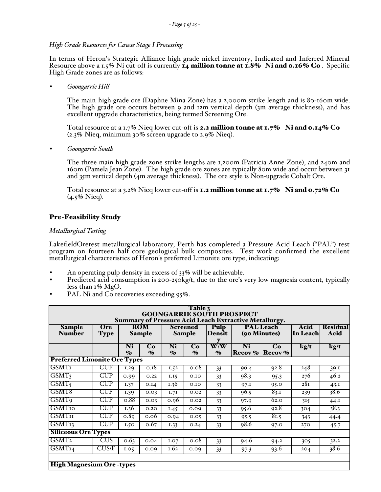### *High Grade Resources for Cawse Stage I Processing*

In terms of Heron's Strategic Alliance high grade nickel inventory, Indicated and Inferred Mineral Resource above a 1.5% Ni cut-off is currently  $\bar{x}_4$  million tonne at  $\bar{x}$ .8% Ni and 0.16% Co. Specific High Grade zones are as follows:

• *Goongarrie Hill*

The main high grade ore (Daphne Mina Zone) has a 2,000m strike length and is 80-160m wide. The high grade ore occurs between 9 and 12m vertical depth (3m average thickness), and has excellent upgrade characteristics, being termed Screening Ore.

Total resource at a 1.7% Nieq lower cut-off is 2.2 million tonne at  $1.7\%$  Ni and  $0.14\%$  Co (2.3% Nieq, minimum 30% screen upgrade to 2.9% Nieq).

• *Goongarrie South*

The three main high grade zone strike lengths are 1,200m (Patricia Anne Zone), and 240m and 160m (Pamela Jean Zone). The high grade ore zones are typically 80m wide and occur between 31 and 35m vertical depth (4m average thickness). The ore style is Non-upgrade Cobalt Ore.

Total resource at a 3.2% Nieq lower cut-off is **1.2 million tonne at 1.7%** Ni and  $0.72\%$  Co (4.5% Nieq).

# Pre-Feasibility Study

### *Metallurgical Testing*

LakefieldOretest metallurgical laboratory, Perth has completed a Pressure Acid Leach ("PAL") test program on fourteen half core geological bulk composites. Test work confirmed the excellent metallurgical characteristics of Heron's preferred Limonite ore type, indicating:

- An operating pulp density in excess of 33% will be achievable.
- Predicted acid consumption is  $200-250\frac{kg}{t}$ , due to the ore's very low magnesia content, typically less than  $1\%$  MgO.
- PAL Ni and Co recoveries exceeding 95%.

| Table 3<br><b>GOONGARRIE SOUTH PROSPECT</b><br><b>Summary of Pressure Acid Leach Extractive Metallurgy.</b> |                      |                      |                                                                                                         |                      |                        |                                                                              |               |               |      |      |
|-------------------------------------------------------------------------------------------------------------|----------------------|----------------------|---------------------------------------------------------------------------------------------------------|----------------------|------------------------|------------------------------------------------------------------------------|---------------|---------------|------|------|
| <b>Sample</b><br><b>Number</b>                                                                              | Ore<br><b>Type</b>   |                      | <b>ROM</b><br><b>PAL Leach</b><br><b>Screened</b><br>Pulp<br>(90 Minutes)<br>Sample<br>Sample<br>Densit |                      | Acid<br>In Leachl      | <b>Residual</b><br>Acid                                                      |               |               |      |      |
|                                                                                                             |                      | Ni<br>$\mathbf{v}_0$ | Co<br>$\mathbf{v}_0$                                                                                    | Ni<br>$\mathbf{v}_0$ | Co<br>$\mathbf{v}_{0}$ | $\overline{\text{W}}$ / $\overline{\text{W}}$<br>$\mathcal{O}_{\mathcal{O}}$ | Ni<br>Recov % | Co<br>Recov % | kg/t | kg/t |
| <b>Preferred Limonite Ore Types</b>                                                                         |                      |                      |                                                                                                         |                      |                        |                                                                              |               |               |      |      |
| <b>GSMT<sub>I</sub></b>                                                                                     | $_{\rm CUF}$         | I.29                 | $0.\overline{18}$                                                                                       | 1.52                 | 0.08                   | 33                                                                           | 96.4          | 92.8          | 248  | 39.I |
| GSMT3                                                                                                       | <b>CUP</b>           | 0.99                 | 0.22                                                                                                    | 1.15                 | 0.10                   | 33                                                                           | 98.3          | 95.3          | 276  | 46.2 |
| GSMT5                                                                                                       | CUP                  | 1.37                 | 0.14                                                                                                    | 1.36                 | 0.10                   | 33                                                                           | 97.I          | 95.0          | 28I  | 43.1 |
| GSMT8                                                                                                       | CUF                  | 1.39                 | 0.03                                                                                                    | 1.71                 | 0.02                   | 33                                                                           | 96.5          | 83.1          | 239  | 38.6 |
| <b>GSMT<sub>9</sub></b>                                                                                     | CUF                  | 0.88                 | 0.03                                                                                                    | 0.96                 | 0.02                   | 33                                                                           | 97.9          | 62.0          | 315  | 44.1 |
| GSMT10                                                                                                      | CUP                  | I.36                 | 0.20                                                                                                    | 1.45                 | 0.09                   | 33                                                                           | 95.6          | 92.8          | 304  | 38.3 |
| <b>GSMT</b> <sub>II</sub>                                                                                   | CUF                  | 0.89                 | 0.06                                                                                                    | 0.94                 | 0.05                   | 33                                                                           | 95.5          | 8I.5          | 343  | 44.4 |
| GSMT <sub>13</sub>                                                                                          | $\operatorname{CUP}$ | 1.50                 | 0.67                                                                                                    | I.33                 | 0.24                   | 33                                                                           | 98.6          | 97.0          | 270  | 45.7 |
| <b>Siliceous Ore Types</b>                                                                                  |                      |                      |                                                                                                         |                      |                        |                                                                              |               |               |      |      |
| GSMT <sub>2</sub>                                                                                           | CUS                  | 0.63                 | 0.04                                                                                                    | <b>I.O7</b>          | 0.08                   | 33                                                                           | 94.6          | 94.2          | 305  | 32.2 |
| GSMT14                                                                                                      | CUS/F                | 1.09                 | 0.09                                                                                                    | 1.62                 | 0.09                   | 33                                                                           | 97.3          | 93.6          | 204  | 38.6 |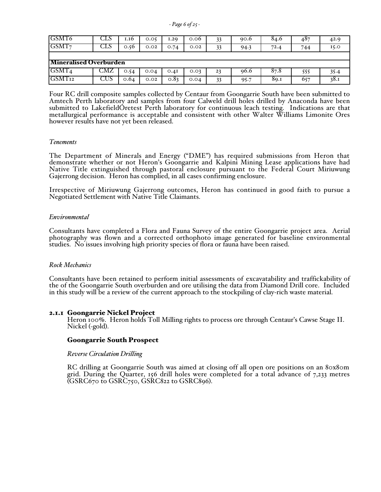*- Page 6 of 25 -*

| GSMT6                         | دىك | 1.16 | 0.05 | 1.29 | 0.06 | 33 | 90.6 | 84.6 | 487 | 42.9 |
|-------------------------------|-----|------|------|------|------|----|------|------|-----|------|
| GSMT <sub>7</sub>             | UT2 | 0.56 | 0.02 | 0.74 | 0.02 | 33 | 94.3 | 72.4 | 744 | 15.0 |
|                               |     |      |      |      |      |    |      |      |     |      |
| <b>Mineralised Overburden</b> |     |      |      |      |      |    |      |      |     |      |
|                               |     |      |      |      |      |    |      |      |     |      |
| GSMT <sub>4</sub>             | CMZ | 0.54 | 0.04 | 0.4I | 0.03 | 23 | 96.6 | 87.8 | 555 | 35.4 |

Four RC drill composite samples collected by Centaur from Goongarrie South have been submitted to Amtech Perth laboratory and samples from four Calweld drill holes drilled by Anaconda have been submitted to LakefieldOretest Perth laboratory for continuous leach testing. Indications are that metallurgical performance is acceptable and consistent with other Walter Williams Limonite Ores however results have not yet been released.

#### *Tenements*

The Department of Minerals and Energy ("DME") has required submissions from Heron that demonstrate whether or not Heron's Goongarrie and Kalpini Mining Lease applications have had Native Title extinguished through pastoral enclosure pursuant to the Federal Court Miriuwung Gajerrong decision. Heron has complied, in all cases confirming enclosure.

Irrespective of Miriuwung Gajerrong outcomes, Heron has continued in good faith to pursue a Negotiated Settlement with Native Title Claimants.

#### *Environmental*

Consultants have completed a Flora and Fauna Survey of the entire Goongarrie project area. Aerial photography was flown and a corrected orthophoto image generated for baseline environmental studies. No issues involving high priority species of flora or fauna have been raised.

#### *Rock Mechanics*

Consultants have been retained to perform initial assessments of excavatability and traffickability of the of the Goongarrie South overburden and ore utilising the data from Diamond Drill core. Included in this study will be a review of the current approach to the stockpiling of clay-rich waste material.

2.1.1 Goongarrie Nickel Project<br>Heron 100%. Heron holds Toll Milling rights to process ore through Centaur's Cawse Stage II. Nickel (-gold).

#### Goongarrie South Prospect

#### *Reverse Circulation Drilling*

RC drilling at Goongarrie South was aimed at closing off all open ore positions on an 80x80m grid. During the Quarter, 156 drill holes were completed for a total advance of 7,233 metres (GSRC670 to GSRC750, GSRC822 to GSRC896).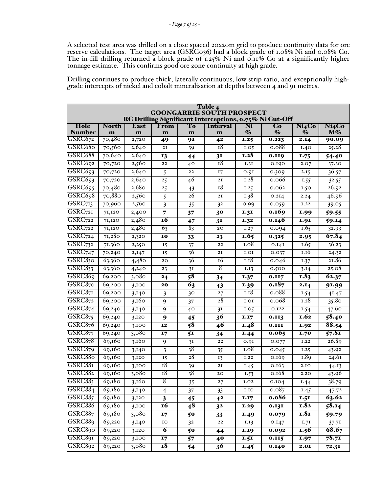A selected test area was drilled on a close spaced 20x20m grid to produce continuity data for ore reserve calculations. The target area (GSRC036) had a block grade of 1.08% Ni and 0.08% Co. The in-fill drilling returned a block grade of 1.25% Ni and 0.11% Co at a significantly higher tonnage estimate. This confirms good ore zone continuity at high grade.

Drilling continues to produce thick, laterally continuous, low strip ratio, and exceptionally highgrade intercepts of nickel and cobalt mineralisation at depths between 4 and 91 metres.

|                       | Table 4<br><b>GOONGARRIE SOUTH PROSPECT</b><br>RC Drilling Significant Interceptions, 0.75% Ni Cut-Off |                  |                         |                |                      |                                   |                                   |                                     |                    |  |
|-----------------------|--------------------------------------------------------------------------------------------------------|------------------|-------------------------|----------------|----------------------|-----------------------------------|-----------------------------------|-------------------------------------|--------------------|--|
| Hole<br><b>Number</b> | <b>North</b><br>m                                                                                      | <b>East</b><br>m | From<br>m               | To<br>m        | <b>Interval</b><br>m | Ni<br>$\mathcal{O}_{\mathcal{O}}$ | Co<br>$\mathcal{O}_{\mathcal{O}}$ | Ni <sub>4</sub> Co<br>$\mathbf{\%}$ | Ni4Co<br>$M\%$     |  |
| GSRC672               | 70,480                                                                                                 | 2,720            | 49                      | 91             | 4 <sup>2</sup>       | 1.25                              | 0.223                             | $2.\overline{14}$                   | 90.09              |  |
| GSRC680               | 70,560                                                                                                 | 2,640            | 2I                      | 39             | 18                   | I.05                              | 0.088                             | 1.40                                | 25.28              |  |
| GSRC688               | 70,640                                                                                                 | 2,640            | 13                      | 44             | 3 <sub>I</sub>       | <b>I.28</b>                       | 0.119                             | 1.75                                | 54.40              |  |
| GSRC692               | 70,720                                                                                                 | 2,560            | 22                      | 40             | 18                   | 1.3I                              | 0.190                             | 2.07                                | 37.30              |  |
| GSRC693               | 70,720                                                                                                 | 2,640            | 5                       | 22             | 17                   | 0.9I                              | 0.309                             | 2.15                                | 36.57              |  |
| GSRC693               | 70,720                                                                                                 | 2,640            | 25                      | 46             | 2I                   | 1.28                              | 0.066                             | 1.55                                | $\overline{3}2.55$ |  |
| GSRC695               | 70,480                                                                                                 | 2,680            | 25                      | 43             | 18                   | $\overline{1.25}$                 | 0.062                             | 1.50                                | 26.92              |  |
| GSRC698               | 70,880                                                                                                 | 2,560            | 5                       | 26             | 2I                   | 1.38                              | 0.2I4                             | 2.24                                | 46.96              |  |
| GSRC <sub>713</sub>   | 70,960                                                                                                 | 2,560            | $\overline{\mathbf{3}}$ | 35             | 32                   | 0.99                              | 0.059                             | I.22                                | 39.05              |  |
| $GSRC$ 721            | 71,120                                                                                                 | 2,400            | $\overline{7}$          | 37             | 30                   | <b>1.31</b>                       | 0.169                             | <b>1.99</b>                         | 59.55              |  |
| GSRC722               | 71,120                                                                                                 | 2,480            | 16                      | 47             | 3 <sub>I</sub>       | 1.32                              | 0.146                             | <b>1.91</b>                         | 59.14              |  |
| GSRC722               | 7I, I2O                                                                                                | 2,480            | 6 <sub>3</sub>          | 83             | 20                   | I.27                              | 0.094                             | 1.65                                | 32.93              |  |
| $GSRC$ 724            | 71,280                                                                                                 | 2,320            | 10                      | 33             | 23                   | 1.65                              | 0.325                             | 2.95                                | 67.84              |  |
| $GSRC_{732}$          | 71,360                                                                                                 | 2,250            | 15                      | 37             | 22                   | I.08                              | 0.14I                             | 1.65                                | 36.23              |  |
| $GSRC_{747}$          | 70,240                                                                                                 | 2,147            | 15                      | 36             | 2I                   | I.OI                              | 0.037                             | 1.16                                | 24.32              |  |
| GSRC830               | 63,360                                                                                                 | 4,480            | 20                      | 36             | 16                   | 1.18                              | 0.046                             | 1.37                                | 21.86              |  |
| GSRC833               | 63,360                                                                                                 | 4,240            | 23                      | 3I             | 8                    | I.I3                              | 0.500                             | 3.14                                | 25.08              |  |
| GSRC869               | 69,200                                                                                                 | 3,080            | 24                      | 58             | 34                   | 1.37                              | 0.II7                             | 1.83                                | 62.37              |  |
| GSRC870               | 69,200                                                                                                 | 3,100            | 20                      | 63             | 43                   | 1.39                              | 0.187                             | 2.14                                | 91.99              |  |
| GSRC87I               | 69,200                                                                                                 | 3,140            | 3                       | 30             | 27                   | 1.18                              | 0.088                             | 1.54                                | 41.47              |  |
| GSRC872               | 69,200                                                                                                 | 3,160            | 9                       | 37             | 28                   | I.OI                              | 0.068                             | 1.28                                | 35.80              |  |
| GSRC874               | 69,240                                                                                                 | 3,140            | 9                       | 40             | 3I                   | I.05                              | 0.122                             | 1.54                                | 47.60              |  |
| GSRC875               | $\sqrt{69,24}$ o                                                                                       | 3,120            | 9                       | 45             | $\overline{36}$      | <b>I.I7</b>                       | $\overline{\textbf{0.113}}$       | <b>1.62</b>                         | 58.40              |  |
| GSRC876               | 69,240                                                                                                 | 3,100            | 12                      | 58             | 46                   | 1.48                              | 0.III                             | 1.92                                | 88.54              |  |
| GSRC877               | 69,240                                                                                                 | 3,080            | 17                      | 51             | 34                   | I.44                              | 0.065                             | 1.70                                | 57.81              |  |
| GSRC878               | 69,160                                                                                                 | 3,160            | 9                       | 3I             | 22                   | 0.9I                              | 0.077                             | I.22                                | 26.89              |  |
| GSRC879               | 69,160                                                                                                 | 3,140            | $\overline{\mathbf{3}}$ | 38             | 35                   | 1.08                              | 0.045                             | 1.25                                | 43.92              |  |
| GSRC880               | 69,160                                                                                                 | 3,120            | 15                      | 28             | 13                   | I.22                              | 0.169                             | 1.89                                | 24.61              |  |
| GSRC881               | 69,160                                                                                                 | 3,100            | 18                      | 39             | 2I                   | 1.45                              | 0.163                             | 2.10                                | 44.13              |  |
| GSRC882               | 69,160                                                                                                 | 3,080            | 18                      | 38             | 20                   | I.53                              | 0.168                             | 2.20                                | 43.96              |  |
| GSRC883               | 69,180                                                                                                 | 3,160            | o<br>$\circ$            | 35             | 27                   | $I.02$                            | 0.104                             | 1.44                                | 38.79              |  |
| GSRC884               | 69,180                                                                                                 | 3,140            | $\overline{4}$          | 37             | 33                   | 1.10                              | 0.087                             | 1.45                                | 47.72              |  |
| GSRC885               | 69,180                                                                                                 | 3,120            | $\mathbf{3}$            | 45             | 4 <sup>2</sup>       | <b>1.17</b>                       | 0.086                             | 1.51                                | 63.62              |  |
| GSRC886               | 69,180                                                                                                 | 3,100            | <b>16</b>               | 48             | 32                   | 1.29                              | 0.13I                             | I.82                                | 58.14              |  |
| GSRC887               | 69,180                                                                                                 | 3,080            | 17                      | 50             | 33                   | 1.49                              | 0.079                             | 1.81                                | 59.79              |  |
| GSRC889               | 69,220                                                                                                 | 3,140            | IO                      | 3 <sup>2</sup> | ${\bf 22}$           | 1.13                              | 0.147                             | 1.71                                | 37.71              |  |
| GSRC890               | 69,220                                                                                                 | 3,120            | $\overline{\mathbf{6}}$ | 50             | 44                   | <b>1.19</b>                       | 0.092                             | 1.56                                | 68.67              |  |
| GSRC891               | 69,220                                                                                                 | 3,100            | 17                      | 57             | 40                   | 1.51                              | 0.115                             | 1.97                                | 78.71              |  |
| GSRC892               | 69,220                                                                                                 | 3,080            | I8                      | 54             | $\overline{36}$      | 1.45                              | 0.140                             | <b>2.01</b>                         | 72.31              |  |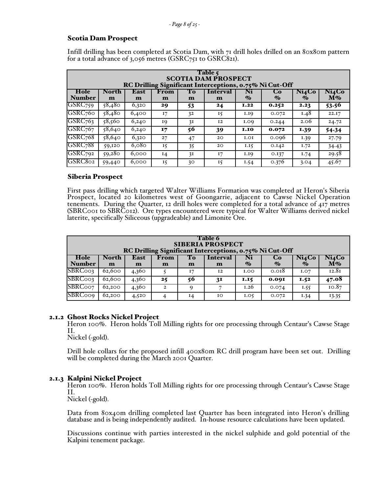# Scotia Dam Prospect

Infill drilling has been completed at Scotia Dam, with 71 drill holes drilled on an 80x80m pattern for a total advance of 3,056 metres (GSRC751 to GSRC821).

| Table 5<br><b>SCOTIA DAM PROSPECT</b><br>RC Drilling Significant Interceptions, 0.75% Ni Cut-Off |                   |                      |           |              |                          |                        |                      |                                                  |                             |  |
|--------------------------------------------------------------------------------------------------|-------------------|----------------------|-----------|--------------|--------------------------|------------------------|----------------------|--------------------------------------------------|-----------------------------|--|
| Hole<br><b>Number</b>                                                                            | <b>North</b><br>m | East<br>$\mathbf{m}$ | From<br>m | To<br>m      | Interval<br>$\mathbf{m}$ | Ni<br>$\mathcal{O}'_0$ | Co<br>$\mathbf{v}_0$ | Ni <sub>4</sub> Co<br>$\mathcal{O}_{\mathbf{0}}$ | Ni <sub>4</sub> Co<br>$M\%$ |  |
| GSRC <sub>759</sub>                                                                              | 58,480            | 6,320                | 29        | 53           | 24                       | I.22                   | 0.252                | 2.23                                             | 53.56                       |  |
| GSRC <sub>760</sub>                                                                              | 58,480            | 6,400                | 17        | 32           | 15                       | I.I9                   | 0.072                | 1.48                                             | 22.17                       |  |
| GSRC <sub>763</sub>                                                                              | 58,560            | 6,240                | 19        | 3I           | I <sub>2</sub>           | I.O9                   | 0.244                | 2.06                                             | 24.72                       |  |
| GSRC <sub>767</sub>                                                                              | $\sqrt{58,640}$   | 6,240                | 17        | 56           | 39                       | <b>I.IO</b>            | 0.072                | <b>1.39</b>                                      | 54.34                       |  |
| GSRC <sub>768</sub>                                                                              | 58,640            | 6,320                | 27        | 47           | 20                       | I.OI                   | 0.096                | 1.39                                             | 27.79                       |  |
| GSRC <sub>7</sub> 88                                                                             | 59,120            | 6,080                | 15        | 35           | 20                       | I.I5                   | 0.142                | I.72                                             | 34.43                       |  |
| GSRC <sub>792</sub>                                                                              | 59,280            | 6,000                | $I_4$     | 3I           | 17                       | <b>I.IQ</b>            | 0.137                | I.74                                             | 29.58                       |  |
| GSRC802                                                                                          | 59,440            | 6,000                | 15        | $30^{\circ}$ | 15                       | I.54                   | 0.376                | 3.04                                             | 45.67                       |  |

# Siberia Prospect

First pass drilling which targeted Walter Williams Formation was completed at Heron's Siberia Prospect, located 20 kilometres west of Goongarrie, adjacent to Cawse Nickel Operation tenements. During the Quarter, 12 drill holes were completed for a total advance of  $417$  metres (SBRC001 to SBRC012). Ore types encountered were typical for Walter Williams derived nickel laterite, specifically Siliceous (upgradeable) and Limonite Ore.

| Table 6<br><b>SIBERIA PROSPECT</b><br>RC Drilling Significant Interceptions, 0.75% Ni Cut-Off |                                                                                                                                                                                             |       |                  |          |    |             |       |      |       |  |
|-----------------------------------------------------------------------------------------------|---------------------------------------------------------------------------------------------------------------------------------------------------------------------------------------------|-------|------------------|----------|----|-------------|-------|------|-------|--|
| Hole<br><b>Number</b>                                                                         | Ni4Co<br>Ni<br>East<br>Ni4Co<br>From<br>To<br><b>Interval</b><br><b>North</b><br>Cо<br>$\dot{M\%}$<br>$\mathcal{O}_{\mathbf{0}}$<br>$\mathbf{\%}$<br>$\mathbf{\%}$<br>m<br>m<br>m<br>m<br>m |       |                  |          |    |             |       |      |       |  |
| SBRC003                                                                                       | 62,600                                                                                                                                                                                      | 4,360 |                  | I7       | 12 | <b>I.OO</b> | 0.018 | I.O7 | 12.81 |  |
| SBRC003                                                                                       | 62,600                                                                                                                                                                                      | 4,360 | 25               | 56       | 31 | 1.15        | 0.001 | 1.52 | 47.08 |  |
| SBRC007                                                                                       | 62,200                                                                                                                                                                                      | 4,360 | $\overline{2}$   | $\Omega$ |    | I.26        | 0.074 | 1.55 | 10.87 |  |
| <b>SBRCoog</b>                                                                                | 62,200                                                                                                                                                                                      | 4,520 | $\boldsymbol{A}$ | $I_4$    | 10 | I.05        | 0.072 | I.34 | 13.35 |  |

# 2.1.2 Ghost Rocks Nickel Project

Heron 100%. Heron holds Toll Milling rights for ore processing through Centaur's Cawse Stage II.

Nickel (-gold).

Drill hole collars for the proposed infill 400x80m RC drill program have been set out. Drilling will be completed during the March 2001 Quarter.

### 2.1.3 Kalpini Nickel Project

Heron 100%. Heron holds Toll Milling rights for ore processing through Centaur's Cawse Stage II.

Nickel (-gold).

Data from 80x40m drilling completed last Quarter has been integrated into Heron's drilling database and is being independently audited. In-house resource calculations have been updated.

Discussions continue with parties interested in the nickel sulphide and gold potential of the Kalpini tenement package.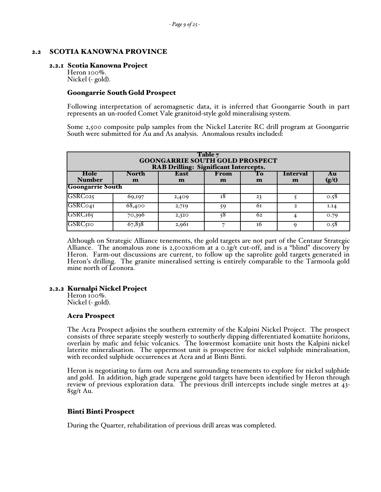### 2.2 SCOTIA KANOWNA PROVINCE

#### 2.2.1 Scotia Kanowna Project

Heron 100%. Nickel (- gold).

#### Goongarrie South Gold Prospect

Following interpretation of aeromagnetic data, it is inferred that Goongarrie South in part represents an un-roofed Comet Vale granitoid-style gold mineralising system.

Some 2,500 composite pulp samples from the Nickel Laterite RC drill program at Goongarrie South were submitted for Au and As analysis. Anomalous results included:

| Table 7<br><b>GOONGARRIE SOUTH GOLD PROSPECT</b><br><b>RAB Drilling: Significant Intercepts.</b> |                       |                      |           |         |                      |             |  |  |  |
|--------------------------------------------------------------------------------------------------|-----------------------|----------------------|-----------|---------|----------------------|-------------|--|--|--|
| Hole<br><b>Number</b>                                                                            | North<br>$\mathbf{m}$ | East<br>$\mathbf{m}$ | From<br>m | To<br>m | <b>Interval</b><br>m | Au<br>(g/t) |  |  |  |
| <b>Goongarrie South</b>                                                                          |                       |                      |           |         |                      |             |  |  |  |
| GSRC025                                                                                          | 69,197                | 2,409                | т8        | 23      |                      | 0.58        |  |  |  |
| GSRC041                                                                                          | $\overline{68,}400$   | 2,719                | 59        | 61      | $\mathbf{2}$         | I.I4        |  |  |  |
| GSRC <sub>165</sub>                                                                              | 70,396                | 2,320                | 58        | 62      | 4                    | 0.79        |  |  |  |
| <b>GSRC510</b>                                                                                   | 67,838                | 2,961                |           | 16      | $\Omega$             | 0.58        |  |  |  |

Although on Strategic Alliance tenements, the gold targets are not part of the Centaur Strategic Alliance. The anomalous zone is  $2,500x160m$  at a 0.1g/t cut-off, and is a "blind" discovery by Heron. Farm-out discussions are current, to follow up the saprolite gold targets generated in Heron's drilling. The granite mineralised setting is entirely comparable to the Tarmoola gold mine north of Leonora.

### 2.2.2 Kurnalpi Nickel Project

Heron 100%. Nickel (- gold).

### Acra Prospect

The Acra Prospect adjoins the southern extremity of the Kalpini Nickel Project. The prospect consists of three separate steeply westerly to southerly dipping differentiated komatiite horizons, overlain by mafic and felsic volcanics. The lowermost komatiite unit hosts the Kalpini nickel laterite mineralisation. The uppermost unit is prospective for nickel sulphide mineralisation, with recorded sulphide occurrences at Acra and at Binti Binti.

Heron is negotiating to farm out Acra and surrounding tenements to explore for nickel sulphide and gold. In addition, high grade supergene gold targets have been identified by Heron through review of previous exploration data. The previous drill intercepts include single metres at 43-  $85g/t$  Au.

### Binti Binti Prospect

During the Quarter, rehabilitation of previous drill areas was completed.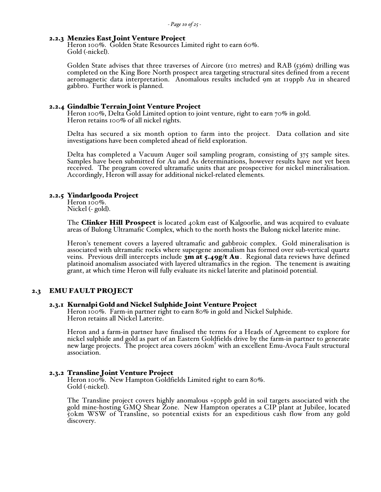#### 2.2.3 Menzies East Joint Venture Project

Heron 100%. Golden State Resources Limited right to earn 60%. Gold (-nickel).

Golden State advises that three traverses of Aircore (110 metres) and RAB (536m) drilling was completed on the King Bore North prospect area targeting structural sites defined from a recent aeromagnetic data interpretation. Anomalous results included 9m at 119ppb Au in sheared gabbro. Further work is planned.

**2.2.4 Gindalbie Terrain Joint Venture Project**<br>Heron 100%, Delta Gold Limited option to joint venture, right to earn 70% in gold. Heron retains 100% of all nickel rights.

Delta has secured a six month option to farm into the project. Data collation and site investigations have been completed ahead of field exploration.

Delta has completed a Vacuum Auger soil sampling program, consisting of 375 sample sites. Samples have been submitted for Au and As determinations, however results have not yet been received. The program covered ultramafic units that are prospective for nickel mineralisation. Accordingly, Heron will assay for additional nickel-related elements.

#### 2.2.5 Yindarlgooda Project

Heron 100%. Nickel (- gold).

The **Clinker Hill Prospect** is located 40km east of Kalgoorlie, and was acquired to evaluate areas of Bulong Ultramafic Complex, which to the north hosts the Bulong nickel laterite mine.

Heron's tenement covers a layered ultramafic and gabbroic complex. Gold mineralisation is associated with ultramafic rocks where supergene anomalism has formed over sub-vertical quartz veins. Previous drill intercepts include  $3m$  at  $5.49g/t$  Au. Regional data reviews have defined platinoid anomalism associated with layered ultramafics in the region. The tenement is awaiting grant, at which time Heron will fully evaluate its nickel laterite and platinoid potential.

#### 2.3 EMU FAULT PROJECT

#### 2.3.1 Kurnalpi Gold and Nickel Sulphide Joint Venture Project

Heron 100%. Farm-in partner right to earn 80% in gold and Nickel Sulphide. Heron retains all Nickel Laterite.

Heron and a farm-in partner have finalised the terms for a Heads of Agreement to explore for nickel sulphide and gold as part of an Eastern Goldfields drive by the farm-in partner to generate mener supprise and gold as part of an Eastern Solgheids arrive by the farm in partner to generate<br>new large projects. The project area covers 260km<sup>2</sup> with an excellent Emu-Avoca Fault structural association.

#### 2.3.2 Transline Joint Venture Project

Heron 100%. New Hampton Goldfields Limited right to earn 80%. Gold (-nickel).

The Transline project covers highly anomalous +50ppb gold in soil targets associated with the gold mine-hosting GMQ Shear Zone. New Hampton operates a CIP plant at Jubilee, located 50km WSW of Transline, so potential exists for an expeditious cash flow from any gold discovery.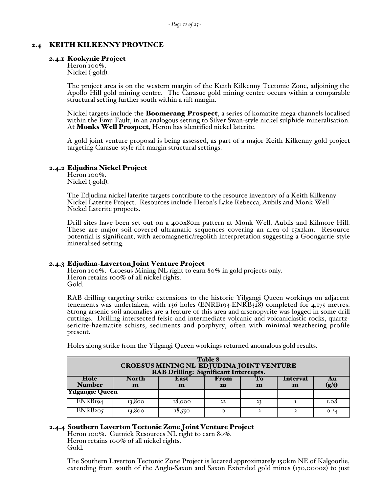### 2.4 KEITH KILKENNY PROVINCE

#### 2.4.1 Kookynie Project

Heron 100%. Nickel (-gold).

The project area is on the western margin of the Keith Kilkenny Tectonic Zone, adjoining the Apollo Hill gold mining centre. The Carasue gold mining centre occurs within a comparable structural setting further south within a rift margin.

Nickel targets include the **Boomerang Prospect**, a series of komatite mega-channels localised within the Emu Fault, in an analogous setting to Silver Swan-style nickel sulphide mineralisation. At Monks Well Prospect, Heron has identified nickel laterite.

A gold joint venture proposal is being assessed, as part of a major Keith Kilkenny gold project targeting Carasue-style rift margin structural settings.

#### 2.4.2 Edjudina Nickel Project

Heron 100%. Nickel (-gold).

The Edjudina nickel laterite targets contribute to the resource inventory of a Keith Kilkenny Nickel Laterite Project. Resources include Heron's Lake Rebecca, Aubils and Monk Well Nickel Laterite propects.

Drill sites have been set out on a 400x80m pattern at Monk Well, Aubils and Kilmore Hill. These are major soil-covered ultramafic sequences covering an area of 15x2km. Resource potential is significant, with aeromagnetic/regolith interpretation suggesting a Goongarrie-style mineralised setting.

2.4.3 Edjudina-Laverton Joint Venture Project<br>Heron 100%. Croesus Mining NL right to earn 80% in gold projects only. Heron retains 100% of all nickel rights. Gold.

RAB drilling targeting strike extensions to the historic Yilgangi Queen workings on adjacent tenements was undertaken, with 136 holes (ENRB193-ENRB328) completed for 4,175 metres. Strong arsenic soil anomalies are a feature of this area and arsenopyrite was logged in some drill cuttings. Drilling intersected felsic and intermediate volcanic and volcaniclastic rocks, quartzsericite-haematite schists, sediments and porphyry, often with minimal weathering profile present.

| <b>Table 8</b><br><b>CROESUS MINING NL EDJUDINA JOINT VENTURE<br/>RAB Drilling: Significant Intercepts.</b> |                       |           |           |         |               |             |  |  |
|-------------------------------------------------------------------------------------------------------------|-----------------------|-----------|-----------|---------|---------------|-------------|--|--|
| Hole<br><b>Number</b>                                                                                       | North<br>$\mathbf{m}$ | East<br>m | From<br>m | To<br>m | Interval<br>m | Au<br>(g/t) |  |  |
| <b>Yilgangie Queen</b>                                                                                      |                       |           |           |         |               |             |  |  |
| ENRB <sub>194</sub>                                                                                         | 13,800                | 18,000    | 22        | 23      |               | 1.08        |  |  |
| ENRB <sub>205</sub>                                                                                         | 13,800                | 18,550    | ∩         | ◠       | 2             | 0.24        |  |  |

Holes along strike from the Yilgangi Queen workings returned anomalous gold results.

### 2.4.4 Southern Laverton Tectonic Zone Joint Venture Project

Heron 100%. Gutnick Resources NL right to earn 80%. Heron retains 100% of all nickel rights. Gold.

The Southern Laverton Tectonic Zone Project is located approximately 150km NE of Kalgoorlie, extending from south of the Anglo-Saxon and Saxon Extended gold mines (170,000oz) to just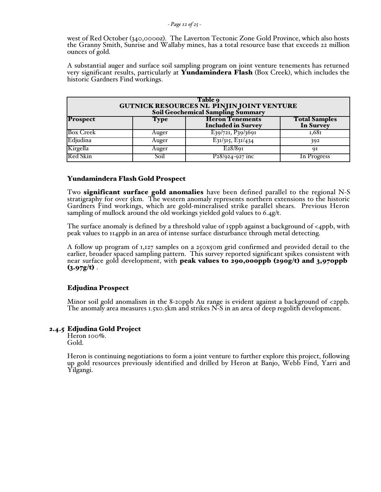west of Red October (340,000oz). The Laverton Tectonic Zone Gold Province, which also hosts the Granny Smith, Sunrise and Wallaby mines, has a total resource base that exceeds 22 million ounces of gold.

A substantial auger and surface soil sampling program on joint venture tenements has returned very significant results, particularly at **Yundamindera Flash** (Box Creek), which includes the historic Gardners Find workings.

| Table 9<br><b>GUTNICK RESOURCES NL PINJIN JOINT VENTURE</b><br>Soil Geochemical Sampling Summary |             |                                                     |                                   |  |  |  |  |  |
|--------------------------------------------------------------------------------------------------|-------------|-----------------------------------------------------|-----------------------------------|--|--|--|--|--|
| <b>Prospect</b>                                                                                  | <b>Type</b> | <b>Heron Tenements</b><br><b>Included in Survey</b> | <b>Total Samples</b><br>In Survey |  |  |  |  |  |
| <b>Box Creek</b>                                                                                 | Auger       | E39/721, P39/3691                                   | 1,681                             |  |  |  |  |  |
| Edjudina                                                                                         | Auger       | $E_3I/3I5, E_3I/434$                                | 392                               |  |  |  |  |  |
| Kirgella                                                                                         | Auger       | E28/89I                                             | qΙ                                |  |  |  |  |  |
| Red Skin                                                                                         | Soil        | $P_28/924-927$ inc                                  | In Progress                       |  |  |  |  |  |

### Yundamindera Flash Gold Prospect

Two **significant surface gold anomalies** have been defined parallel to the regional N-S stratigraphy for over 5km. The western anomaly represents northern extensions to the historic Gardners Find workings, which are gold-mineralised strike parallel shears. Previous Heron sampling of mullock around the old workings yielded gold values to 6.4g/t.

The surface anomaly is defined by a threshold value of 15ppb against a background of <4ppb, with peak values to 114ppb in an area of intense surface disturbance through metal detecting.

A follow up program of 1,127 samples on a 250x50m grid confirmed and provided detail to the earlier, broader spaced sampling pattern. This survey reported significant spikes consistent with near surface gold development, with peak values to 290,000ppb (290g/t) and 3,970ppb  $(3.97g/t)$ .

### Edjudina Prospect

Minor soil gold anomalism in the 8-20ppb Au range is evident against a background of  $\langle 2ppb \rangle$ . The anomaly area measures 1.5x0.5km and strikes N-S in an area of deep regolith development.

### 2.4.5 Edjudina Gold Project

Heron 100%. Gold.

Heron is continuing negotiations to form a joint venture to further explore this project, following up gold resources previously identified and drilled by Heron at Banjo, Webb Find, Yarri and Yilgangi.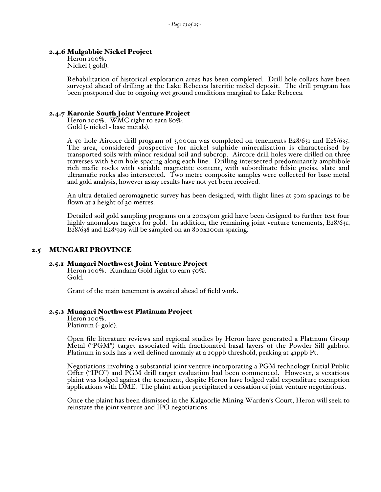#### 2.4.6 Mulgabbie Nickel Project

Heron 100%. Nickel (-gold).

Rehabilitation of historical exploration areas has been completed. Drill hole collars have been surveyed ahead of drilling at the Lake Rebecca lateritic nickel deposit. The drill program has been postponed due to ongoing wet ground conditions marginal to Lake Rebecca.

# 2.4.7 Karonie South Joint Venture Project Heron 100%. WMC right to earn 80%.

Gold (- nickel - base metals).

A 50 hole Aircore drill program of 3,000m was completed on tenements E28/631 and E28/635. The area, considered prospective for nickel sulphide mineralisation is characterised by transported soils with minor residual soil and subcrop. Aircore drill holes were drilled on three traverses with 80m hole spacing along each line. Drilling intersected predominantly amphibole rich mafic rocks with variable magnetite content, with subordinate felsic gneiss, slate and ultramafic rocks also intersected. Two metre composite samples were collected for base metal and gold analysis, however assay results have not yet been received.

An ultra detailed aeromagnetic survey has been designed, with flight lines at 50m spacings to be flown at a height of 30 metres.

Detailed soil gold sampling programs on a 200x50m grid have been designed to further test four highly anomalous targets for gold. In addition, the remaining joint venture tenements, E28/631, E28/638 and E28/929 will be sampled on an 800x200m spacing.

### 2.5 MUNGARI PROVINCE

# 2.5.1 Mungari Northwest Joint Venture Project Heron 100%. Kundana Gold right to earn 50%.

Gold.

Grant of the main tenement is awaited ahead of field work.

#### 2.5.2 Mungari Northwest Platinum Project

Heron 100%. Platinum (- gold).

Open file literature reviews and regional studies by Heron have generated a Platinum Group Metal ("PGM") target associated with fractionated basal layers of the Powder Sill gabbro. Platinum in soils has a well defined anomaly at a 20ppb threshold, peaking at 41ppb Pt.

Negotiations involving a substantial joint venture incorporating a PGM technology Initial Public Offer ("IPO") and PGM drill target evaluation had been commenced. However, a vexatious plaint was lodged against the tenement, despite Heron have lodged valid expenditure exemption applications with DME. The plaint action precipitated a cessation of joint venture negotiations.

Once the plaint has been dismissed in the Kalgoorlie Mining Warden's Court, Heron will seek to reinstate the joint venture and IPO negotiations.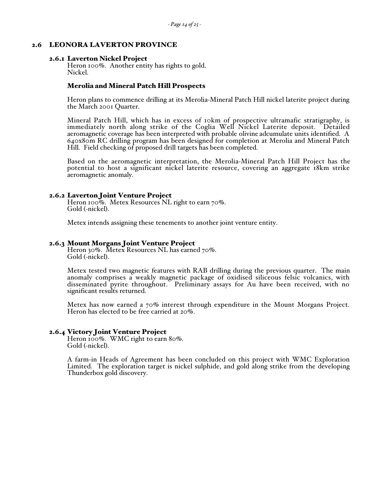#### 2.6 LEONORA LAVERTON PROVINCE

**2.6.1 Laverton Nickel Project** Heron 100%. Another entity has rights to gold. Nickel.

#### Merolia and Mineral Patch Hill Prospects

Heron plans to commence drilling at its Merolia-Mineral Patch Hill nickel laterite project during the March 2001 Quarter.

Mineral Patch Hill, which has in excess of 10km of prospective ultramafic stratigraphy, is immediately north along strike of the Coglia Well Nickel Laterite deposit. Detailed aeromagnetic coverage has been interpreted with probable olivine adcumulate units identified. A 640x80m RC drilling program has been designed for completion at Merolia and Mineral Patch Hill. Field checking of proposed drill targets has been completed.

Based on the aeromagnetic interpretation, the Merolia-Mineral Patch Hill Project has the potential to host a significant nickel laterite resource, covering an aggregate 18km strike aeromagnetic anomaly.

**2.6.2 Laverton Joint Venture Project**<br>Heron 100%. Metex Resources NL right to earn 70%. Gold (-nickel).

Metex intends assigning these tenements to another joint venture entity.

**2.6.3 Mount Morgans Joint Venture Project** Heron 30%. Metex Resources NL has earned 70%. Gold (-nickel).

> Metex tested two magnetic features with RAB drilling during the previous quarter. The main anomaly comprises a weakly magnetic package of oxidised siliceous felsic volcanics, with disseminated pyrite throughout. Preliminary assays for Au have been received, with no significant results returned.

> Metex has now earned a 70% interest through expenditure in the Mount Morgans Project. Heron has elected to be free carried at 20%.

#### 2.6.4 Victory Joint Venture Project

Heron 100%. WMC right to earn 80%. Gold (-nickel).

A farm-in Heads of Agreement has been concluded on this project with WMC Exploration Limited. The exploration target is nickel sulphide, and gold along strike from the developing Thunderbox gold discovery.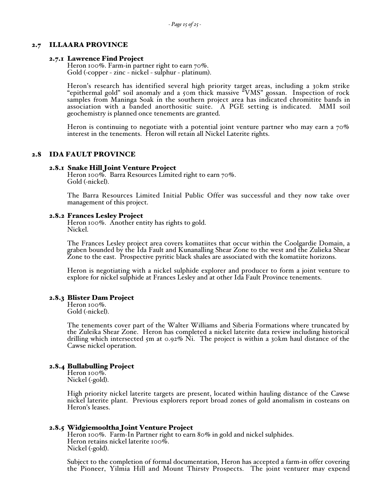#### 2.7 ILLAARA PROVINCE

**2.7.1 Lawrence Find Project** Heron 100%. Farm-in partner right to earn  $70\%$ . Gold (-copper - zinc - nickel - sulphur - platinum).

> Heron's research has identified several high priority target areas, including a 30km strike "epithermal gold" soil anomaly and a 50m thick massive "VMS" gossan. Inspection of rock samples from Maninga Soak in the southern project area has indicated chromitite bands in association with a banded anorthositic suite. A PGE setting is indicated. MMI soil geochemistry is planned once tenements are granted.

> Heron is continuing to negotiate with a potential joint venture partner who may earn a  $70\%$ interest in the tenements. Heron will retain all Nickel Laterite rights.

#### 2.8 IDA FAULT PROVINCE

**2.8.1 Snake Hill Joint Venture Project**<br>Heron 100%. Barra Resources Limited right to earn 70%. Gold (-nickel).

The Barra Resources Limited Initial Public Offer was successful and they now take over management of this project.

2.8.2 Frances Lesley Project<br>Heron 100%. Another entity has rights to gold. Nickel.

> The Frances Lesley project area covers komatiites that occur within the Coolgardie Domain, a graben bounded by the Ida Fault and Kunanalling Shear Zone to the west and the Zulieka Shear Zone to the east. Prospective pyritic black shales are associated with the komatiite horizons.

> Heron is negotiating with a nickel sulphide explorer and producer to form a joint venture to explore for nickel sulphide at Frances Lesley and at other Ida Fault Province tenements.

#### 2.8.3 Blister Dam Project

Heron 100%. Gold (-nickel).

The tenements cover part of the Walter Williams and Siberia Formations where truncated by the Zuleika Shear Zone. Heron has completed a nickel laterite data review including historical drilling which intersected  $5m$  at 0.92% Ni. The project is within a 30km haul distance of the Cawse nickel operation.

#### 2.8.4 Bullabulling Project

Heron 100%. Nickel (-gold).

High priority nickel laterite targets are present, located within hauling distance of the Cawse nickel laterite plant. Previous explorers report broad zones of gold anomalism in costeans on Heron's leases.

#### 2.8.5 Widgiemooltha Joint Venture Project

Heron 100%. Farm-In Partner right to earn 80% in gold and nickel sulphides. Heron retains nickel laterite 100%. Nickel (-gold).

Subject to the completion of formal documentation, Heron has accepted a farm-in offer covering the Pioneer, Yilmia Hill and Mount Thirsty Prospects. The joint venturer may expend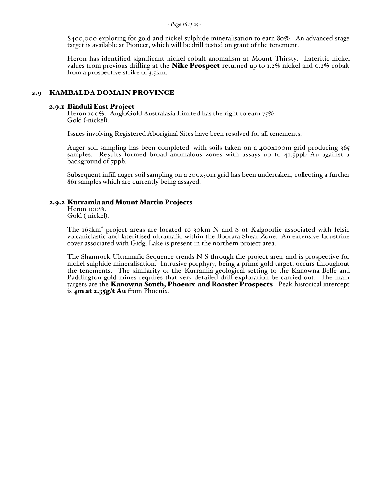#### *- Page 16 of 25 -*

\$400,000 exploring for gold and nickel sulphide mineralisation to earn 80%. An advanced stage target is available at Pioneer, which will be drill tested on grant of the tenement.

Heron has identified significant nickel-cobalt anomalism at Mount Thirsty. Lateritic nickel values from previous drilling at the **Nike Prospect** returned up to 1.2% nickel and 0.2% cobalt from a prospective strike of 3.5km.

#### 2.9 KAMBALDA DOMAIN PROVINCE

**2.9.1 Binduli East Project**<br>Heron 100%. AngloGold Australasia Limited has the right to earn 75%. Gold (-nickel).

Issues involving Registered Aboriginal Sites have been resolved for all tenements.

Auger soil sampling has been completed, with soils taken on a 400x100m grid producing 365 samples. Results formed broad anomalous zones with assays up to 41.5ppb Au against a background of 7ppb.

Subsequent infill auger soil sampling on a 200x50m grid has been undertaken, collecting a further 861 samples which are currently being assayed.

#### 2.9.2 Kurramia and Mount Martin Projects

Heron 100%. Gold (-nickel).

The 165km<sup>2</sup> project areas are located 10-30km N and S of Kalgoorlie associated with felsic<br>volcaniclastic and lateritised ultramafic within the Boorara Shear Zone. An extensive lacustrine cover associated with Gidgi Lake is present in the northern project area.

The Shamrock Ultramafic Sequence trends N-S through the project area, and is prospective for nickel sulphide mineralisation. Intrusive porphyry, being a prime gold target, occurs throughout the tenements. The similarity of the Kurramia geological setting to the Kanowna Belle and Paddington gold mines requires that very detailed drill exploration be carried out. The main targets are the **Kanowna South, Phoenix and Roaster Prospects**. Peak historical intercept is  $4m$  at 2.35g/t Au from Phoenix.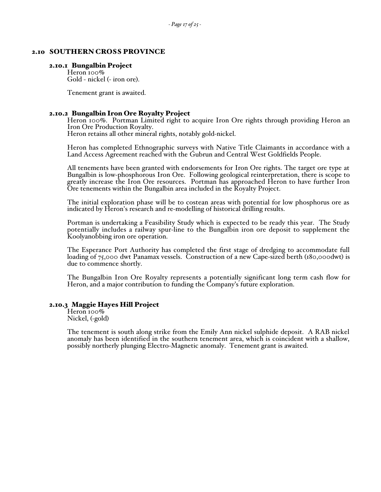#### 2.10 SOUTHERN CROSS PROVINCE

#### 2.10.1 Bungalbin Project

Heron 100% Gold - nickel (- iron ore).

Tenement grant is awaited.

2.10.2 Bungalbin Iron Ore Royalty Project<br>Heron 100%. Portman Limited right to acquire Iron Ore rights through providing Heron an Iron Ore Production Royalty. Heron retains all other mineral rights, notably gold-nickel.

Heron has completed Ethnographic surveys with Native Title Claimants in accordance with a Land Access Agreement reached with the Gubrun and Central West Goldfields People.

All tenements have been granted with endorsements for Iron Ore rights. The target ore type at Bungalbin is low-phosphorous Iron Ore. Following geological reinterpretation, there is scope to greatly increase the Iron Ore resources. Portman has approached Heron to have further Iron Ore tenements within the Bungalbin area included in the Royalty Project.

The initial exploration phase will be to costean areas with potential for low phosphorus ore as indicated by Heron's research and re-modelling of historical drilling results.

Portman is undertaking a Feasibility Study which is expected to be ready this year. The Study potentially includes a railway spur-line to the Bungalbin iron ore deposit to supplement the Koolyanobbing iron ore operation.

The Esperance Port Authority has completed the first stage of dredging to accommodate full loading of 75,000 dwt Panamax vessels. Construction of a new Cape-sized berth (180,000dwt) is due to commence shortly.

The Bungalbin Iron Ore Royalty represents a potentially significant long term cash flow for Heron, and a major contribution to funding the Company's future exploration.

#### 2.10.3 Maggie Hayes Hill Project

Heron 100% Nickel, (-gold)

The tenement is south along strike from the Emily Ann nickel sulphide deposit. A RAB nickel anomaly has been identified in the southern tenement area, which is coincident with a shallow, possibly northerly plunging Electro-Magnetic anomaly. Tenement grant is awaited.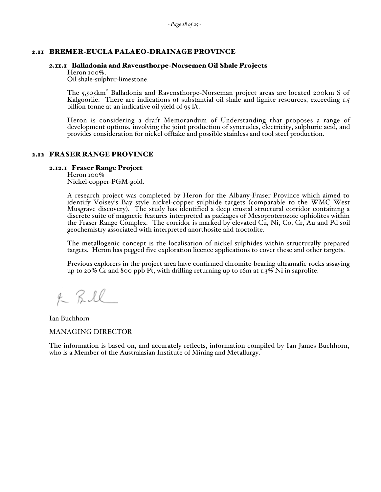### 2.11 BREMER-EUCLA PALAEO-DRAINAGE PROVINCE

#### 2.11.1 Balladonia and Ravensthorpe-Norsemen Oil Shale Projects

Heron 100%.

Oil shale-sulphur-limestone.

The 5,505km<sup>2</sup> Balladonia and Ravensthorpe-Norseman project areas are located 200km S of Kalgoorlie. There are indications of substantial oil shale and lignite resources, exceeding 1.5 billion tonne at an indicative oil yield of 95 l/t.

Heron is considering a draft Memorandum of Understanding that proposes a range of development options, involving the joint production of syncrudes, electricity, sulphuric acid, and provides consideration for nickel offtake and possible stainless and tool steel production.

#### 2.12 FRASER RANGE PROVINCE

#### 2.12.1 Fraser Range Project

Heron 100% Nickel-copper-PGM-gold.

A research project was completed by Heron for the Albany-Fraser Province which aimed to identify Voisey's Bay style nickel-copper sulphide targets (comparable to the WMC West Musgrave discovery). The study has identified a deep crustal structural corridor containing a discrete suite of magnetic features interpreted as packages of Mesoproterozoic ophiolites within the Fraser Range Complex. The corridor is marked by elevated Cu, Ni, Co, Cr, Au and Pd soil geochemistry associated with interpreted anorthosite and troctolite.

The metallogenic concept is the localisation of nickel sulphides within structurally prepared targets. Heron has pegged five exploration licence applications to cover these and other targets.

Previous explorers in the project area have confirmed chromite-bearing ultramafic rocks assaying up to 20% Cr and 800 ppb Pt, with drilling returning up to 16m at 1.3% Ni in saprolite.

K Bill

Ian Buchhorn

MANAGING DIRECTOR

The information is based on, and accurately reflects, information compiled by Ian James Buchhorn, who is a Member of the Australasian Institute of Mining and Metallurgy.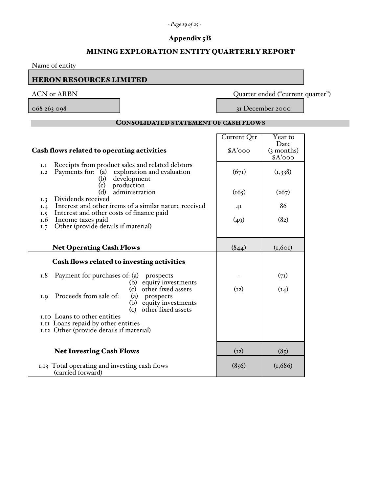# *- Page 19 of 25 -*

# Appendix 5B

# MINING EXPLORATION ENTITY QUARTERLY REPORT

| Name of entity                                                                                                                                    |                         |                                   |  |
|---------------------------------------------------------------------------------------------------------------------------------------------------|-------------------------|-----------------------------------|--|
| <b>HERON RESOURCES LIMITED</b>                                                                                                                    |                         |                                   |  |
| <b>ACN</b> or ARBN                                                                                                                                |                         | Quarter ended ("current quarter") |  |
| 068 263 098                                                                                                                                       |                         | 31 December 2000                  |  |
| <b>CONSOLIDATED STATEMENT OF CASH FLOWS</b>                                                                                                       |                         |                                   |  |
| Cash flows related to operating activities                                                                                                        | Current Qtr<br>$A'$ ooo | Year to<br>Date<br>(3 months)     |  |
|                                                                                                                                                   |                         | $A'$ 000                          |  |
| Receipts from product sales and related debtors<br>I.I<br>Payments for: (a) exploration and evaluation<br>I.2<br>development<br>(b)<br>production | (671)                   | (1,338)                           |  |
| (c)<br>administration<br>(d)<br>Dividends received                                                                                                | (165)                   | (267)                             |  |
| I.3<br>Interest and other items of a similar nature received<br>I.4<br>Interest and other costs of finance paid<br>1.5                            | 41                      | 86                                |  |
| Income taxes paid<br>1.6<br>Other (provide details if material)<br>I.7                                                                            | (49)                    | (8 <sub>2</sub> )                 |  |
| <b>Net Operating Cash Flows</b>                                                                                                                   | (844)                   | (I, 60I)                          |  |
| Cash flows related to investing activities                                                                                                        |                         |                                   |  |
| Payment for purchases of: (a) prospects<br>1.8<br>(b) equity investments                                                                          |                         | (71)                              |  |
| other fixed assets<br>(c)<br>Proceeds from sale of:<br>(a) prospects<br>I.9<br>(b) equity investments<br>other fixed assets<br>(c)                | (12)                    | (14)                              |  |
| 1.10 Loans to other entities<br>I.II Loans repaid by other entities                                                                               |                         |                                   |  |
| 1.12 Other (provide details if material)                                                                                                          |                         |                                   |  |
| <b>Net Investing Cash Flows</b>                                                                                                                   | (I2)                    | (85)                              |  |
| 1.13 Total operating and investing cash flows<br>(carried forward)                                                                                | (856)                   | (1,686)                           |  |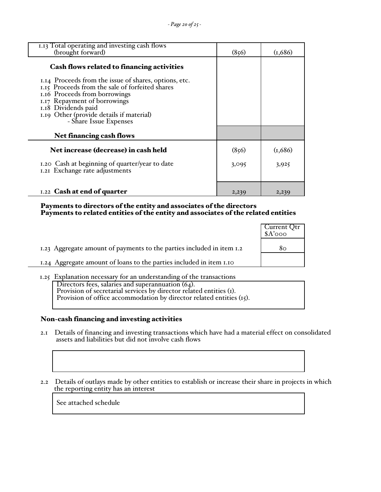| 1.13 Total operating and investing cash flows<br>(brought forward)                                                                                         | (856) | (1,686) |
|------------------------------------------------------------------------------------------------------------------------------------------------------------|-------|---------|
| Cash flows related to financing activities<br>1.14 Proceeds from the issue of shares, options, etc.<br>1.15 Proceeds from the sale of forfeited shares     |       |         |
| 1.16 Proceeds from borrowings<br>1.17 Repayment of borrowings<br>1.18 Dividends paid<br>1.19 Other (provide details if material)<br>- Share Issue Expenses |       |         |
| <b>Net financing cash flows</b>                                                                                                                            |       |         |
| Net increase (decrease) in cash held                                                                                                                       | (856) | (1,686) |
| 1.20 Cash at beginning of quarter/year to date<br>1.21 Exchange rate adjustments                                                                           | 3,095 | 3,925   |
| 1.22 Cash at end of quarter                                                                                                                                | 2,239 | 2,239   |

#### Payments to directors of the entity and associates of the directors Payments to related entities of the entity and associates of the related entities

|                                                                       | Current Qtr<br>\$A'ooo |
|-----------------------------------------------------------------------|------------------------|
| 1.23 Aggregate amount of payments to the parties included in item 1.2 | 80                     |
| 1.24 Aggregate amount of loans to the parties included in item 1.10   |                        |

1.25 Explanation necessary for an understanding of the transactions Directors fees, salaries and superannuation (64). Provision of secretarial services by director related entities (1). Provision of office accommodation by director related entities (15).

# Non-cash financing and investing activities

- 2.1 Details of financing and investing transactions which have had a material effect on consolidated assets and liabilities but did not involve cash flows
	- 2.2 Details of outlays made by other entities to establish or increase their share in projects in which the reporting entity has an interest

See attached schedule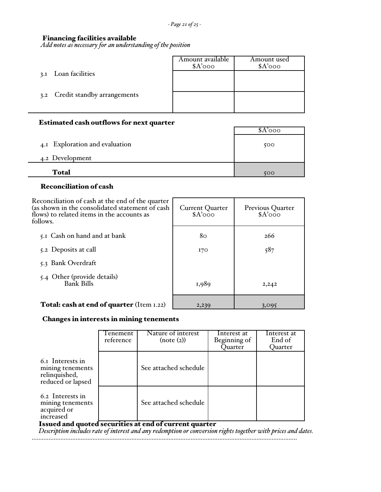$\overline{\phantom{a}}$ 

# Financing facilities available

*Add notes as necessary for an understanding of the position*

|                                 | Amount available<br>$A'$ ooo | Amount used<br>$A'$ ooo |
|---------------------------------|------------------------------|-------------------------|
| Loan facilities<br>3.1          |                              |                         |
| 3.2 Credit standby arrangements |                              |                         |
|                                 |                              |                         |

# Estimated cash outflows for next quarter

|                                | \$A′000 |
|--------------------------------|---------|
| 4.1 Exploration and evaluation | 500     |
| 4.2 Development                |         |
| <b>Total</b>                   | 500     |

# Reconciliation of cash

Ē,

| Reconciliation of cash at the end of the quarter<br>(as shown in the consolidated statement of cash<br>flows) to related items in the accounts as<br>follows. | <b>Current Quarter</b><br>$A'$ ooo | <b>Previous Quarter</b><br>$A'$ ooo |
|---------------------------------------------------------------------------------------------------------------------------------------------------------------|------------------------------------|-------------------------------------|
| 5.1 Cash on hand and at bank                                                                                                                                  | 80                                 | 266                                 |
| 5.2 Deposits at call                                                                                                                                          | 170                                | 587                                 |
| 5.3 Bank Overdraft                                                                                                                                            |                                    |                                     |
| 5.4 Other (provide details)<br><b>Bank Bills</b>                                                                                                              | 1,989                              | 2,242                               |
| <b>Total: cash at end of quarter</b> (Item 1.22)                                                                                                              | 2,239                              | 3,095                               |

### Changes in interests in mining tenements

|                                                                            | Tenement<br>reference | Nature of interest<br>(note (2))                                                                                                                                                                                                                                                            | Interest at<br>Beginning of<br>Quarter | Interest at<br>End of<br>Quarter |
|----------------------------------------------------------------------------|-----------------------|---------------------------------------------------------------------------------------------------------------------------------------------------------------------------------------------------------------------------------------------------------------------------------------------|----------------------------------------|----------------------------------|
| 6.1 Interests in<br>mining tenements<br>relinquished,<br>reduced or lapsed |                       | See attached schedule                                                                                                                                                                                                                                                                       |                                        |                                  |
| 6.2 Interests in<br>mining tenements<br>acquired or<br>increased           |                       | See attached schedule                                                                                                                                                                                                                                                                       |                                        |                                  |
|                                                                            |                       | Issued and quoted securities at end of current quarter<br>$D_{1},\ldots$ to the first decoder of the character of annual metatric concentration of the contribution of the first of the first of the first of the first of the first of the first of the first of the first of the first of |                                        |                                  |

 *Description includes rate of interest and any redemption or conversion rights together with prices and dates.*

.............................................................................................................................................................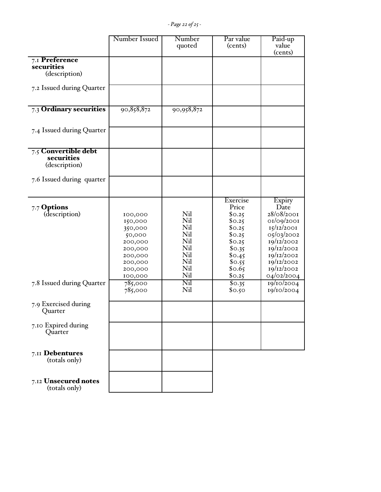|                                                     | Number Issued                                                                                             | Number<br>quoted                                                   | Par value<br>(cents)                                                                                                  | Paid-up<br>value<br>(cents)                                                                                                                                |
|-----------------------------------------------------|-----------------------------------------------------------------------------------------------------------|--------------------------------------------------------------------|-----------------------------------------------------------------------------------------------------------------------|------------------------------------------------------------------------------------------------------------------------------------------------------------|
| 7.I Preference<br>securities<br>(description)       |                                                                                                           |                                                                    |                                                                                                                       |                                                                                                                                                            |
| 7.2 Issued during Quarter                           |                                                                                                           |                                                                    |                                                                                                                       |                                                                                                                                                            |
| 7.3 Ordinary securities                             | 90,858,872                                                                                                | 90,958,872                                                         |                                                                                                                       |                                                                                                                                                            |
| 7.4 Issued during Quarter                           |                                                                                                           |                                                                    |                                                                                                                       |                                                                                                                                                            |
| 7.5 Convertible debt<br>securities<br>(description) |                                                                                                           |                                                                    |                                                                                                                       |                                                                                                                                                            |
| 7.6 Issued during quarter                           |                                                                                                           |                                                                    |                                                                                                                       |                                                                                                                                                            |
| 7.7 Options<br>(description)                        | 100,000<br>150,000<br>350,000<br>50,000<br>200,000<br>200,000<br>200,000<br>200,000<br>200,000<br>100,000 | Nil<br>Nil<br>Nil<br>Nil<br>Nil<br>Nil<br>Nil<br>Nil<br>Nil<br>Nil | Exercise<br>Price<br>\$0.25<br>\$0.25<br>\$0.25<br>\$0.25<br>\$0.25<br>\$0.35<br>\$0.45<br>\$0.55<br>\$0.65<br>\$0.25 | Expiry<br>Date<br>28/08/2001<br>01/09/2001<br>15/12/2001<br>05/03/2002<br>19/12/2002<br>19/12/2002<br>19/12/2002<br>19/12/2002<br>19/12/2002<br>04/02/2004 |
| 7.8 Issued during Quarter                           | 785,000<br>785,000                                                                                        | Nil<br>Nil                                                         | \$0.35<br>\$0.50                                                                                                      | 19/10/2004<br>19/10/2004                                                                                                                                   |
| 7.9 Exercised during<br>Quarter                     |                                                                                                           |                                                                    |                                                                                                                       |                                                                                                                                                            |
| 7.10 Expired during<br><b>Quarter</b>               |                                                                                                           |                                                                    |                                                                                                                       |                                                                                                                                                            |
| 7.II Debentures<br>(totals only)                    |                                                                                                           |                                                                    |                                                                                                                       |                                                                                                                                                            |
| 7.12 Unsecured notes<br>(totals only)               |                                                                                                           |                                                                    |                                                                                                                       |                                                                                                                                                            |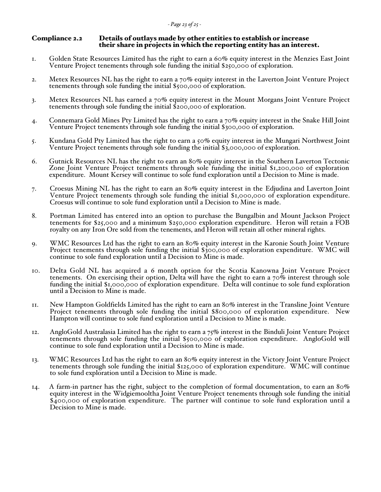#### Compliance 2.2 Details of outlays made by other entities to establish or increase their share in projects in which the reporting entity has an interest.

- 1. Golden State Resources Limited has the right to earn a 60% equity interest in the Menzies East Joint Venture Project tenements through sole funding the initial \$250,000 of exploration.
- 2. Metex Resources NL has the right to earn a  $70\%$  equity interest in the Laverton Joint Venture Project tenements through sole funding the initial  $$500,000$  of exploration.
- 3. Metex Resources NL has earned a  $70\%$  equity interest in the Mount Morgans Joint Venture Project tenements through sole funding the initial  $$200,000$  of exploration.
- 4. Connemara Gold Mines Pty Limited has the right to earn a 70% equity interest in the Snake Hill Joint Venture Project tenements through sole funding the initial \$300,000 of exploration.
- 5. Kundana Gold Pty Limited has the right to earn a 50% equity interest in the Mungari Northwest Joint Venture Project tenements through sole funding the initial  $\frac{1}{3}3,000,000$  of exploration.
- 6. Gutnick Resources NL has the right to earn an 80% equity interest in the Southern Laverton Tectonic Zone Joint Venture Project tenements through sole funding the initial \$1,200,000 of exploration expenditure. Mount Kersey will continue to sole fund exploration until a Decision to Mine is made.
- 7. Croesus Mining NL has the right to earn an 80% equity interest in the Edjudina and Laverton Joint Venture Project tenements through sole funding the initial \$1,000,000 of exploration expenditure. Croesus will continue to sole fund exploration until a Decision to Mine is made.
- 8. Portman Limited has entered into an option to purchase the Bungalbin and Mount Jackson Project tenements for \$25,000 and a minimum \$250,000 exploration expenditure. Heron will retain a FOB royalty on any Iron Ore sold from the tenements, and Heron will retain all other mineral rights.
- 9. WMC Resources Ltd has the right to earn an 80% equity interest in the Karonie South Joint Venture Project tenements through sole funding the initial \$300,000 of exploration expenditure. WMC will continue to sole fund exploration until a Decision to Mine is made.
- 10. Delta Gold NL has acquired a 6 month option for the Scotia Kanowna Joint Venture Project tenements. On exercising their option, Delta will have the right to earn a  $70\%$  interest through sole funding the initial \$1,000,000 of exploration expenditure. Delta will continue to sole fund exploration until a Decision to Mine is made.
- 11. New Hampton Goldfields Limited has the right to earn an 80% interest in the Transline Joint Venture Project tenements through sole funding the initial \$800,000 of exploration expenditure. New Hampton will continue to sole fund exploration until a Decision to Mine is made.
- 12. AngloGold Australasia Limited has the right to earn a 75% interest in the Binduli Joint Venture Project tenements through sole funding the initial \$500,000 of exploration expenditure. AngloGold will continue to sole fund exploration until a Decision to Mine is made.
- 13. WMC Resources Ltd has the right to earn an 80% equity interest in the Victory Joint Venture Project tenements through sole funding the initial \$125,000 of exploration expenditure. WMC will continue to sole fund exploration until a Decision to Mine is made.
- 14. A farm-in partner has the right, subject to the completion of formal documentation, to earn an 80% equity interest in the Widgiemooltha Joint Venture Project tenements through sole funding the initial \$400,000 of exploration expenditure. The partner will continue to sole fund exploration until a Decision to Mine is made.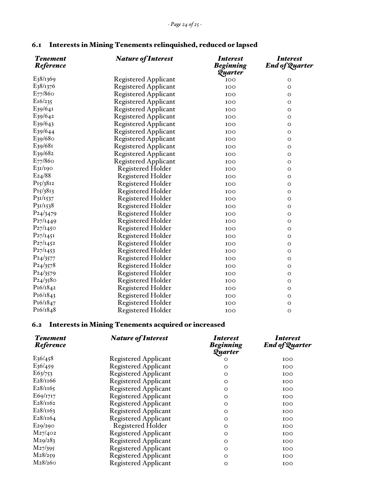| <b>Tenement</b><br><b>Reference</b> | <b>Nature of Interest</b>   | <i>Interest</i><br><b>Beginning</b><br>Quarter | <b>Interest</b><br><b>End of Quarter</b> |
|-------------------------------------|-----------------------------|------------------------------------------------|------------------------------------------|
| E38/1369                            | <b>Registered Applicant</b> | 100                                            | O                                        |
| E38/1376                            | <b>Registered Applicant</b> | 100                                            | O                                        |
| $E_{77}/860$                        | <b>Registered Applicant</b> | 100                                            | $\mathsf O$                              |
| E16/235                             | <b>Registered Applicant</b> | 100                                            | O                                        |
| $E_{39}/641$                        | <b>Registered Applicant</b> | 100                                            | $\mathsf O$                              |
| E39/642                             | <b>Registered Applicant</b> | 100                                            | $\circ$                                  |
| E <sub>39</sub> /6 <sub>43</sub>    | Registered Applicant        | 100                                            | O                                        |
| E39/644                             | <b>Registered Applicant</b> | 100                                            | O                                        |
| E39/680                             | <b>Registered Applicant</b> | 100                                            | $\circ$                                  |
| E39/681                             | <b>Registered Applicant</b> | 100                                            | O                                        |
| E39/682                             | <b>Registered Applicant</b> | 100                                            | O                                        |
| $E_{77}/860$                        | Registered Applicant        | 100                                            | $\circ$                                  |
| E31/190                             | Registered Holder           | 100                                            | $\circ$                                  |
| E24/88                              | <b>Registered Holder</b>    | 100                                            | O                                        |
| P15/3812                            | <b>Registered Holder</b>    | 100                                            | O                                        |
| P15/3813                            | <b>Registered Holder</b>    | 100                                            | $\circ$                                  |
| $P_3I/I537$                         | <b>Registered Holder</b>    | 100                                            | O                                        |
| $P_{31}/_{1538}$                    | <b>Registered Holder</b>    | 100                                            | O                                        |
| P <sub>24</sub> / <sub>3479</sub>   | <b>Registered Holder</b>    | 100                                            | $\circ$                                  |
| P27/1449                            | <b>Registered Holder</b>    | 100                                            | $\circ$                                  |
| $P_{27}/I_{450}$                    | <b>Registered Holder</b>    | 100                                            | $\circ$                                  |
| $P_{27}/I_{45}$                     | <b>Registered Holder</b>    | 100                                            | $\circ$                                  |
| $P_{27}/_{1452}$                    | <b>Registered Holder</b>    | 100                                            | $\circ$                                  |
| $P_{27}/I_{453}$                    | <b>Registered Holder</b>    | 100                                            | O                                        |
| P <sub>24</sub> /3577               | <b>Registered Holder</b>    | 100                                            | $\mathsf O$                              |
| $P_{24}/3578$                       | <b>Registered Holder</b>    | 100                                            | $\circ$                                  |
| $P_{24}/3579$                       | <b>Registered Holder</b>    | 100                                            | O                                        |
| P <sub>24</sub> / <sub>35</sub> 80  | <b>Registered Holder</b>    | 100                                            | O                                        |
| P16/1842                            | <b>Registered Holder</b>    | 100                                            | $\circ$                                  |
| P16/1843                            | <b>Registered Holder</b>    | 100                                            | O                                        |
| P <sub>16</sub> / <sub>1847</sub>   | <b>Registered Holder</b>    | 100                                            | O                                        |
| P <sub>16</sub> / <sub>1848</sub>   | <b>Registered Holder</b>    | 100                                            | $\circ$                                  |
|                                     |                             |                                                |                                          |

# 6.1 Interests in Mining Tenements relinquished, reduced or lapsed

# 6.2 Interests in Mining Tenements acquired or increased

| <b>Tenement</b><br>Reference     | <b>Nature of Interest</b>   | <i>Interest</i><br><b>Beginning</b><br>Quarter | <i><b>Interest</b></i><br><b>End of Quarter</b> |
|----------------------------------|-----------------------------|------------------------------------------------|-------------------------------------------------|
| $E_{36/458}$                     | <b>Registered Applicant</b> | O                                              | 100                                             |
| $E_{36/459}$                     | <b>Registered Applicant</b> | O                                              | 100                                             |
| E63/753                          | <b>Registered Applicant</b> | O                                              | 100                                             |
| E <sub>2</sub> 8/1166            | <b>Registered Applicant</b> | O                                              | 100                                             |
| E28/1165                         | Registered Applicant        | O                                              | 100                                             |
| E69/1717                         | Registered Applicant        | O                                              | 100                                             |
| $E_28/\text{II}62$               | Registered Applicant        | O                                              | 100                                             |
| $E_28/1163$                      | Registered Applicant        | O                                              | 100                                             |
| E28/1164                         | <b>Registered Applicant</b> | $\circ$                                        | 100                                             |
| E29/290                          | <b>Registered Holder</b>    | O                                              | 100                                             |
| M27/402                          | <b>Registered Applicant</b> | O                                              | 100                                             |
| M29/283                          | Registered Applicant        | O                                              | 100                                             |
| M27/395                          | Registered Applicant        | $\circ$                                        | 100                                             |
| M28/259                          | Registered Applicant        | $\circ$                                        | 100                                             |
| M <sub>2</sub> 8/ <sub>260</sub> | <b>Registered Applicant</b> | O                                              | 100                                             |